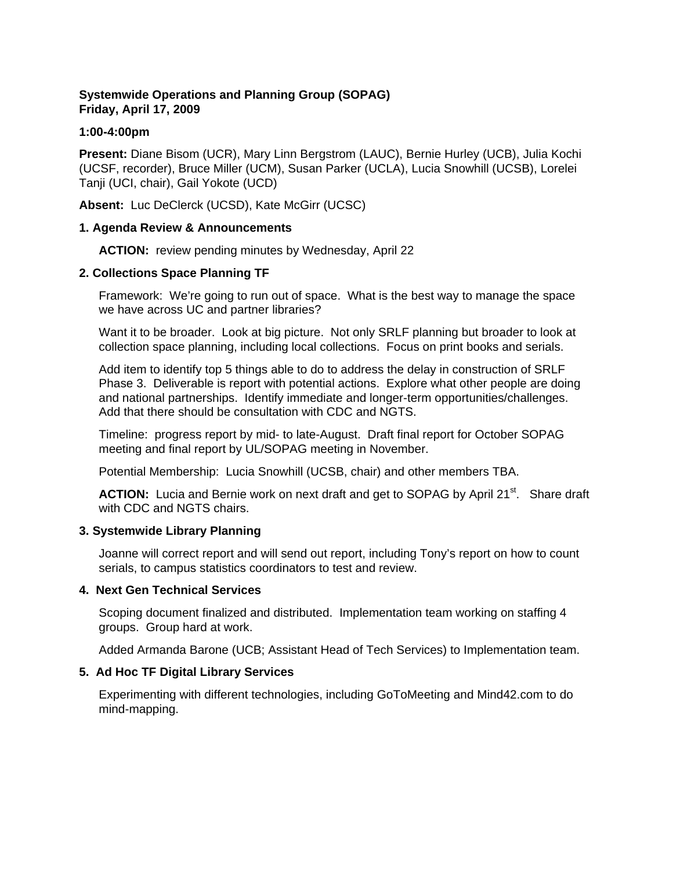# **Systemwide Operations and Planning Group (SOPAG) Friday, April 17, 2009**

#### **1:00-4:00pm**

**Present:** Diane Bisom (UCR), Mary Linn Bergstrom (LAUC), Bernie Hurley (UCB), Julia Kochi (UCSF, recorder), Bruce Miller (UCM), Susan Parker (UCLA), Lucia Snowhill (UCSB), Lorelei Tanji (UCI, chair), Gail Yokote (UCD)

Absent: Luc DeClerck (UCSD), Kate McGirr (UCSC)

#### **1. Agenda Review & Announcements**

**ACTION:** review pending minutes by Wednesday, April 22

#### **2. Collections Space Planning TF**

Framework: We're going to run out of space. What is the best way to manage the space we have across UC and partner libraries?

Want it to be broader. Look at big picture. Not only SRLF planning but broader to look at collection space planning, including local collections. Focus on print books and serials.

Add item to identify top 5 things able to do to address the delay in construction of SRLF Phase 3. Deliverable is report with potential actions. Explore what other people are doing and national partnerships. Identify immediate and longer-term opportunities/challenges. Add that there should be consultation with CDC and NGTS.

Timeline: progress report by mid- to late-August. Draft final report for October SOPAG meeting and final report by UL/SOPAG meeting in November.

Potential Membership: Lucia Snowhill (UCSB, chair) and other members TBA.

**ACTION:** Lucia and Bernie work on next draft and get to SOPAG by April 21<sup>st</sup>. Share draft with CDC and NGTS chairs.

## **3. Systemwide Library Planning**

Joanne will correct report and will send out report, including Tony's report on how to count serials, to campus statistics coordinators to test and review.

## **4. Next Gen Technical Services**

Scoping document finalized and distributed. Implementation team working on staffing 4 groups. Group hard at work.

Added Armanda Barone (UCB; Assistant Head of Tech Services) to Implementation team.

## **5. Ad Hoc TF Digital Library Services**

Experimenting with different technologies, including GoToMeeting and Mind42.com to do mind-mapping.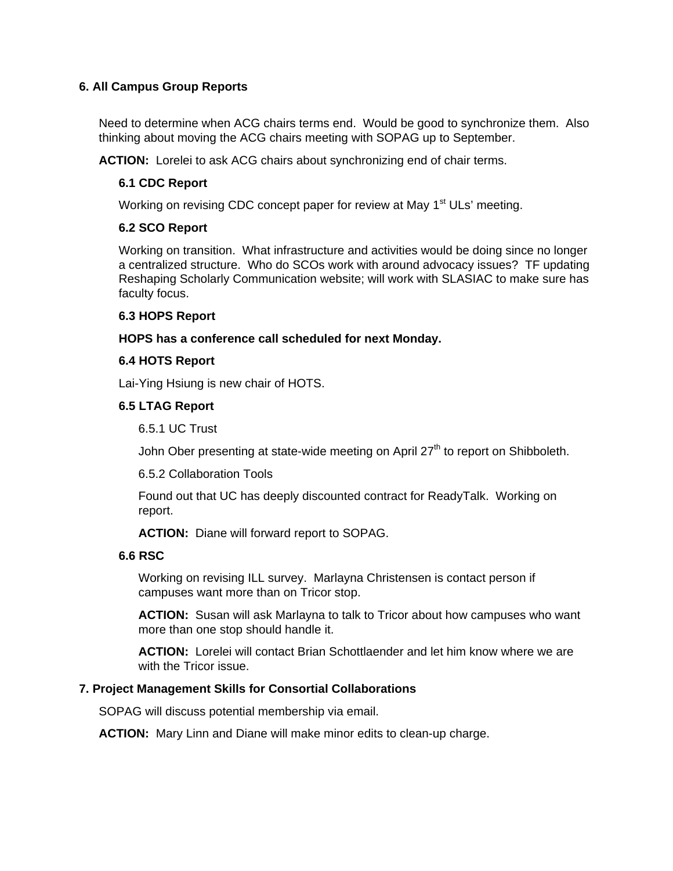# **6. All Campus Group Reports**

Need to determine when ACG chairs terms end. Would be good to synchronize them. Also thinking about moving the ACG chairs meeting with SOPAG up to September.

**ACTION:** Lorelei to ask ACG chairs about synchronizing end of chair terms.

# **6.1 CDC Report**

Working on revising CDC concept paper for review at May 1<sup>st</sup> ULs' meeting.

## **6.2 SCO Report**

Working on transition. What infrastructure and activities would be doing since no longer a centralized structure. Who do SCOs work with around advocacy issues? TF updating Reshaping Scholarly Communication website; will work with SLASIAC to make sure has faculty focus.

## **6.3 HOPS Report**

## **HOPS has a conference call scheduled for next Monday.**

## **6.4 HOTS Report**

Lai-Ying Hsiung is new chair of HOTS.

## **6.5 LTAG Report**

6.5.1 UC Trust

John Ober presenting at state-wide meeting on April 27<sup>th</sup> to report on Shibboleth.

6.5.2 Collaboration Tools

Found out that UC has deeply discounted contract for ReadyTalk. Working on report.

**ACTION:** Diane will forward report to SOPAG.

## **6.6 RSC**

Working on revising ILL survey. Marlayna Christensen is contact person if campuses want more than on Tricor stop.

**ACTION:** Susan will ask Marlayna to talk to Tricor about how campuses who want more than one stop should handle it.

**ACTION:** Lorelei will contact Brian Schottlaender and let him know where we are with the Tricor issue.

## **7. Project Management Skills for Consortial Collaborations**

SOPAG will discuss potential membership via email.

**ACTION:** Mary Linn and Diane will make minor edits to clean-up charge.